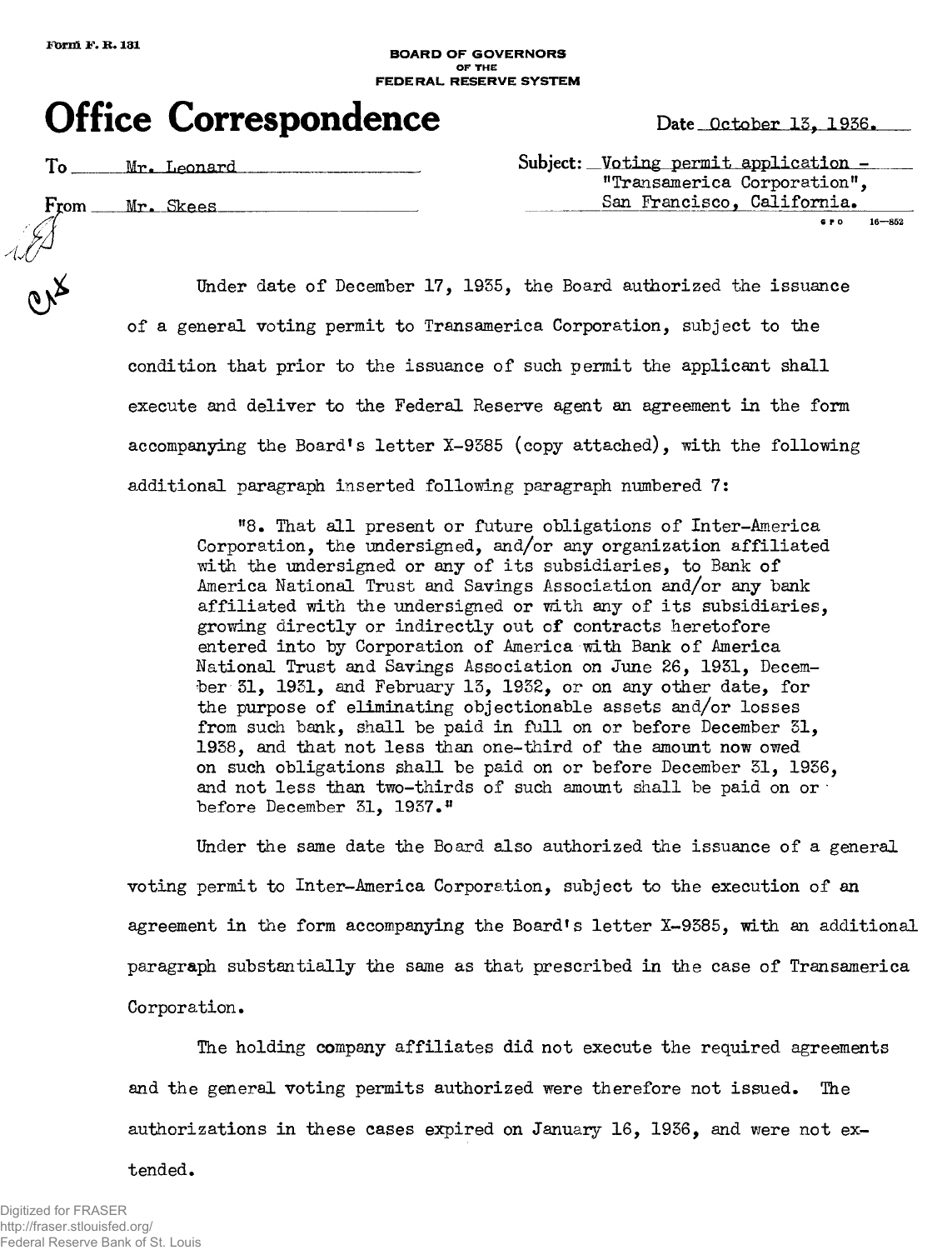## BOARD OF GOVERNORS OF THE FEDERAL RESERVE SYSTEM

## **Office Correspondence** Date October 13, 1936.

| Mr.<br>Leonard |  |
|----------------|--|
|                |  |

 $Subject:$  Voting permit application -"Transamerica Corporation", **6 P 0 16—852** 

From Mr. Skees<br>
San Francisco, California.<br>
Under date of December 17, 1935, the Board authorized the issuance Under date of December 17, 1935, the Board authorized the issuance of a general voting permit to Transamerica Corporation, subject to the condition that prior to the issuance of such permit the applicant shall execute and deliver to the Federal Reserve agent an agreement in the form accompanying the Board's letter  $X-9385$  (copy attached), with the following additional paragraph inserted following paragraph numbered 7:

> "8. That all present or future obligations of Inter-America Corporation, the undersigned, and/or any organization affiliated with the undersigned or any of its subsidiaries, to Bank of America National Trust and Savings Association and/or any bank affiliated with the undersigned or with any of its subsidiaries. growing directly or indirectly out of contracts heretofore entered into by Corporation of America with Bank of America National Trust and Savings Association on June 26, 1951, December 31, 1931, and February 13, 1932, or on any other date, for the purpose of eliminating objectionable assets and/or losses from such bank, shall be paid in full on or before December  $51$ , 1938, and that not less than one-third of the amount now owed on such obligations shall be paid on or before December 31, 1936, and not less than two-thirds of such amount shall be paid on or  $\cdot$ before December 31, 1937.<sup>11</sup>

Under the same date the Board also authorized the issuance of a general voting permit to Inter-America Corporation, subject to the execution of an agreement in the form accompanying the Board's letter  $X-9385$ , with an additional paragraph substantially the same as that prescribed in the case of Transamerica Corporation.

The holding company affiliates did not execute the required agreements and the general voting permits authorized were therefore not issued. The authorizations in these cases expired on January 16, 1936, and were not ex-

## tended.